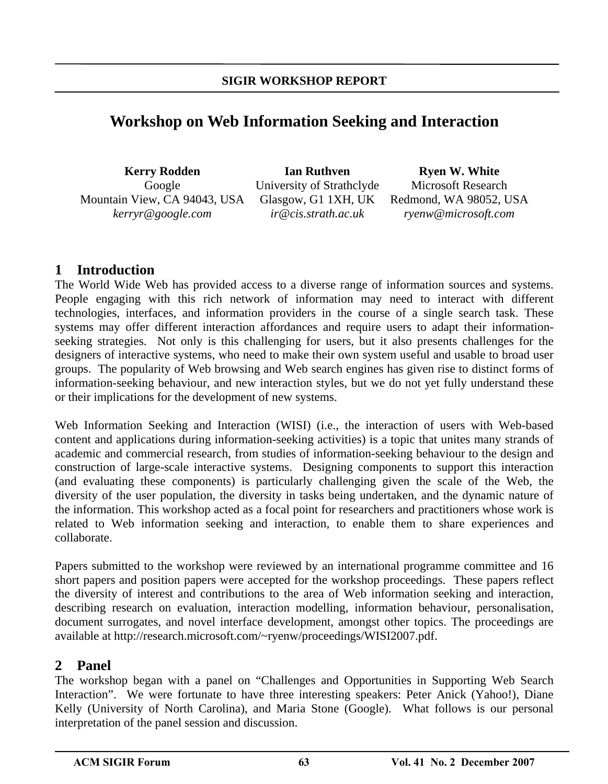# **Workshop on Web Information Seeking and Interaction**

| <b>Kerry Rodden</b>              |     |
|----------------------------------|-----|
| Google                           | Uni |
| Mountain View, CA 94043, USA Gla |     |
| kerryr@google.com                |     |

**Ian Ruthven**  versity of Strathclyde usgow, G1 1XH, UK *ir@cis.strath.ac.uk* 

**Ryen W. White**  Microsoft Research Redmond, WA 98052, USA *ryenw@microsoft.com* 

## **1 Introduction**

The World Wide Web has provided access to a diverse range of information sources and systems. People engaging with this rich network of information may need to interact with different technologies, interfaces, and information providers in the course of a single search task. These systems may offer different interaction affordances and require users to adapt their informationseeking strategies. Not only is this challenging for users, but it also presents challenges for the designers of interactive systems, who need to make their own system useful and usable to broad user groups. The popularity of Web browsing and Web search engines has given rise to distinct forms of information-seeking behaviour, and new interaction styles, but we do not yet fully understand these or their implications for the development of new systems.

Web Information Seeking and Interaction (WISI) (i.e., the interaction of users with Web-based content and applications during information-seeking activities) is a topic that unites many strands of academic and commercial research, from studies of information-seeking behaviour to the design and construction of large-scale interactive systems. Designing components to support this interaction (and evaluating these components) is particularly challenging given the scale of the Web, the diversity of the user population, the diversity in tasks being undertaken, and the dynamic nature of the information. This workshop acted as a focal point for researchers and practitioners whose work is related to Web information seeking and interaction, to enable them to share experiences and collaborate.

Papers submitted to the workshop were reviewed by an international programme committee and 16 short papers and position papers were accepted for the workshop proceedings. These papers reflect the diversity of interest and contributions to the area of Web information seeking and interaction, describing research on evaluation, interaction modelling, information behaviour, personalisation, document surrogates, and novel interface development, amongst other topics. The proceedings are available at http://research.microsoft.com/~ryenw/proceedings/WISI2007.pdf.

## **2 Panel**

The workshop began with a panel on "Challenges and Opportunities in Supporting Web Search Interaction". We were fortunate to have three interesting speakers: Peter Anick (Yahoo!), Diane Kelly (University of North Carolina), and Maria Stone (Google). What follows is our personal interpretation of the panel session and discussion.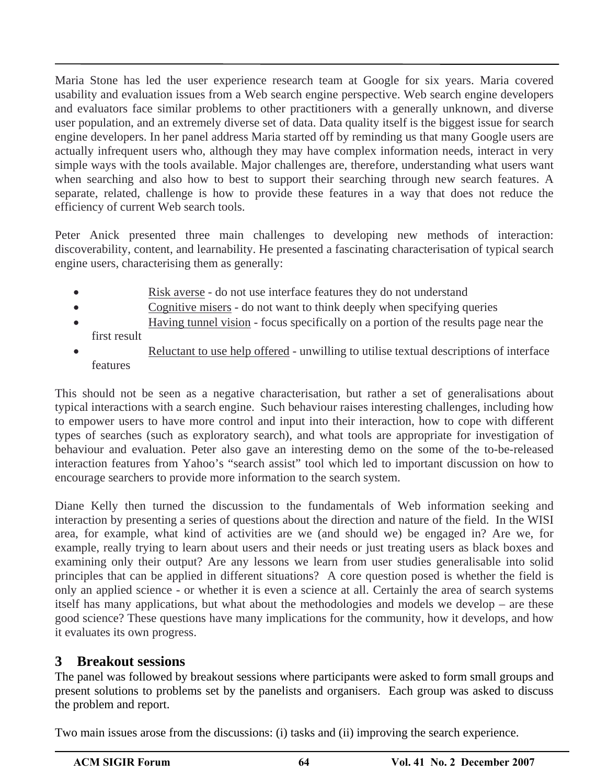Maria Stone has led the user experience research team at Google for six years. Maria covered usability and evaluation issues from a Web search engine perspective. Web search engine developers and evaluators face similar problems to other practitioners with a generally unknown, and diverse user population, and an extremely diverse set of data. Data quality itself is the biggest issue for search engine developers. In her panel address Maria started off by reminding us that many Google users are actually infrequent users who, although they may have complex information needs, interact in very simple ways with the tools available. Major challenges are, therefore, understanding what users want when searching and also how to best to support their searching through new search features. A separate, related, challenge is how to provide these features in a way that does not reduce the efficiency of current Web search tools.

Peter Anick presented three main challenges to developing new methods of interaction: discoverability, content, and learnability. He presented a fascinating characterisation of typical search engine users, characterising them as generally:

- Risk averse do not use interface features they do not understand
- Cognitive misers do not want to think deeply when specifying queries
- Having tunnel vision focus specifically on a portion of the results page near the first result
- Reluctant to use help offered unwilling to utilise textual descriptions of interface features

This should not be seen as a negative characterisation, but rather a set of generalisations about typical interactions with a search engine. Such behaviour raises interesting challenges, including how to empower users to have more control and input into their interaction, how to cope with different types of searches (such as exploratory search), and what tools are appropriate for investigation of behaviour and evaluation. Peter also gave an interesting demo on the some of the to-be-released interaction features from Yahoo's "search assist" tool which led to important discussion on how to encourage searchers to provide more information to the search system.

Diane Kelly then turned the discussion to the fundamentals of Web information seeking and interaction by presenting a series of questions about the direction and nature of the field. In the WISI area, for example, what kind of activities are we (and should we) be engaged in? Are we, for example, really trying to learn about users and their needs or just treating users as black boxes and examining only their output? Are any lessons we learn from user studies generalisable into solid principles that can be applied in different situations? A core question posed is whether the field is only an applied science - or whether it is even a science at all. Certainly the area of search systems itself has many applications, but what about the methodologies and models we develop – are these good science? These questions have many implications for the community, how it develops, and how it evaluates its own progress.

## **3 Breakout sessions**

The panel was followed by breakout sessions where participants were asked to form small groups and present solutions to problems set by the panelists and organisers. Each group was asked to discuss the problem and report.

Two main issues arose from the discussions: (i) tasks and (ii) improving the search experience.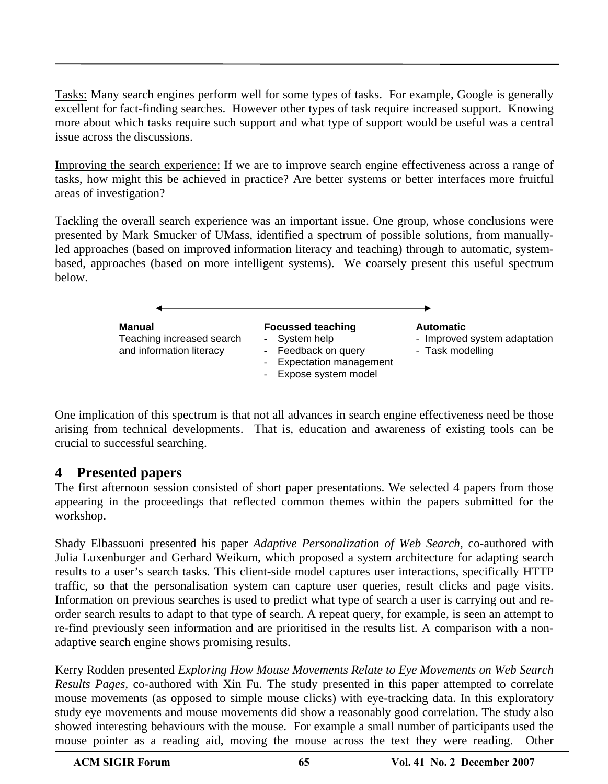Tasks: Many search engines perform well for some types of tasks. For example, Google is generally excellent for fact-finding searches. However other types of task require increased support. Knowing more about which tasks require such support and what type of support would be useful was a central issue across the discussions.

Improving the search experience: If we are to improve search engine effectiveness across a range of tasks, how might this be achieved in practice? Are better systems or better interfaces more fruitful areas of investigation?

Tackling the overall search experience was an important issue. One group, whose conclusions were presented by Mark Smucker of UMass, identified a spectrum of possible solutions, from manuallyled approaches (based on improved information literacy and teaching) through to automatic, systembased, approaches (based on more intelligent systems). We coarsely present this useful spectrum below.



One implication of this spectrum is that not all advances in search engine effectiveness need be those arising from technical developments. That is, education and awareness of existing tools can be crucial to successful searching.

## **4 Presented papers**

The first afternoon session consisted of short paper presentations. We selected 4 papers from those appearing in the proceedings that reflected common themes within the papers submitted for the workshop.

Shady Elbassuoni presented his paper *Adaptive Personalization of Web Search,* co-authored with Julia Luxenburger and Gerhard Weikum, which proposed a system architecture for adapting search results to a user's search tasks. This client-side model captures user interactions, specifically HTTP traffic, so that the personalisation system can capture user queries, result clicks and page visits. Information on previous searches is used to predict what type of search a user is carrying out and reorder search results to adapt to that type of search. A repeat query, for example, is seen an attempt to re-find previously seen information and are prioritised in the results list. A comparison with a nonadaptive search engine shows promising results.

Kerry Rodden presented *Exploring How Mouse Movements Relate to Eye Movements on Web Search Results Pages,* co-authored with Xin Fu. The study presented in this paper attempted to correlate mouse movements (as opposed to simple mouse clicks) with eye-tracking data. In this exploratory study eye movements and mouse movements did show a reasonably good correlation. The study also showed interesting behaviours with the mouse. For example a small number of participants used the mouse pointer as a reading aid, moving the mouse across the text they were reading. Other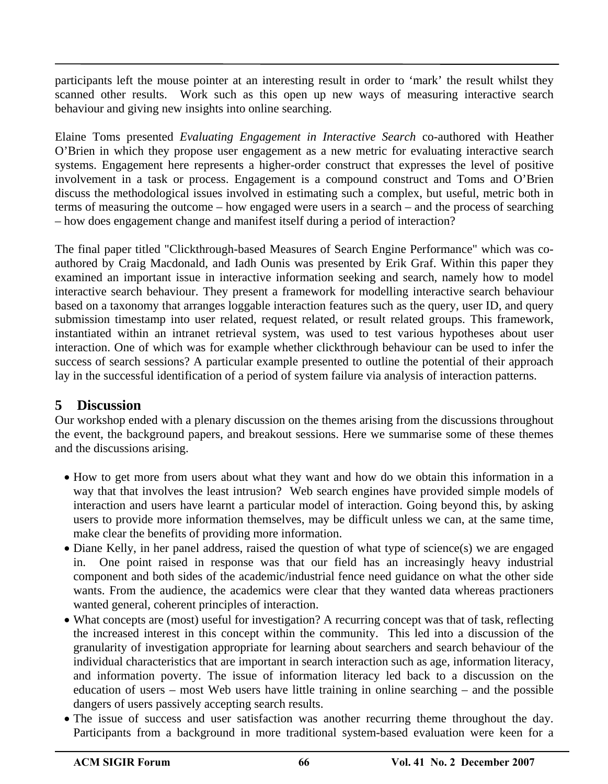participants left the mouse pointer at an interesting result in order to 'mark' the result whilst they scanned other results. Work such as this open up new ways of measuring interactive search behaviour and giving new insights into online searching.

Elaine Toms presented *Evaluating Engagement in Interactive Search* co-authored with Heather O'Brien in which they propose user engagement as a new metric for evaluating interactive search systems. Engagement here represents a higher-order construct that expresses the level of positive involvement in a task or process. Engagement is a compound construct and Toms and O'Brien discuss the methodological issues involved in estimating such a complex, but useful, metric both in terms of measuring the outcome – how engaged were users in a search – and the process of searching – how does engagement change and manifest itself during a period of interaction?

The final paper titled "Clickthrough-based Measures of Search Engine Performance" which was coauthored by Craig Macdonald, and Iadh Ounis was presented by Erik Graf. Within this paper they examined an important issue in interactive information seeking and search, namely how to model interactive search behaviour. They present a framework for modelling interactive search behaviour based on a taxonomy that arranges loggable interaction features such as the query, user ID, and query submission timestamp into user related, request related, or result related groups. This framework, instantiated within an intranet retrieval system, was used to test various hypotheses about user interaction. One of which was for example whether clickthrough behaviour can be used to infer the success of search sessions? A particular example presented to outline the potential of their approach lay in the successful identification of a period of system failure via analysis of interaction patterns.

### **5 Discussion**

Our workshop ended with a plenary discussion on the themes arising from the discussions throughout the event, the background papers, and breakout sessions. Here we summarise some of these themes and the discussions arising.

- How to get more from users about what they want and how do we obtain this information in a way that that involves the least intrusion? Web search engines have provided simple models of interaction and users have learnt a particular model of interaction. Going beyond this, by asking users to provide more information themselves, may be difficult unless we can, at the same time, make clear the benefits of providing more information.
- Diane Kelly, in her panel address, raised the question of what type of science(s) we are engaged in. One point raised in response was that our field has an increasingly heavy industrial component and both sides of the academic/industrial fence need guidance on what the other side wants. From the audience, the academics were clear that they wanted data whereas practioners wanted general, coherent principles of interaction.
- What concepts are (most) useful for investigation? A recurring concept was that of task, reflecting the increased interest in this concept within the community. This led into a discussion of the granularity of investigation appropriate for learning about searchers and search behaviour of the individual characteristics that are important in search interaction such as age, information literacy, and information poverty. The issue of information literacy led back to a discussion on the education of users – most Web users have little training in online searching – and the possible dangers of users passively accepting search results.
- The issue of success and user satisfaction was another recurring theme throughout the day. Participants from a background in more traditional system-based evaluation were keen for a